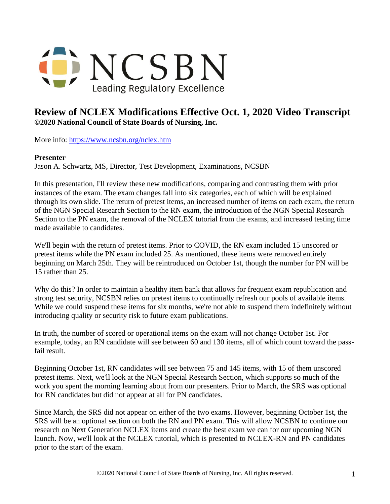

## **Review of NCLEX Modifications Effective Oct. 1, 2020 Video Transcript ©2020 National Council of State Boards of Nursing, Inc.**

More info: <https://www.ncsbn.org/nclex.htm>

## **Presenter**

Jason A. Schwartz, MS, Director, Test Development, Examinations, NCSBN

In this presentation, I'll review these new modifications, comparing and contrasting them with prior instances of the exam. The exam changes fall into six categories, each of which will be explained through its own slide. The return of pretest items, an increased number of items on each exam, the return of the NGN Special Research Section to the RN exam, the introduction of the NGN Special Research Section to the PN exam, the removal of the NCLEX tutorial from the exams, and increased testing time made available to candidates.

We'll begin with the return of pretest items. Prior to COVID, the RN exam included 15 unscored or pretest items while the PN exam included 25. As mentioned, these items were removed entirely beginning on March 25th. They will be reintroduced on October 1st, though the number for PN will be 15 rather than 25.

Why do this? In order to maintain a healthy item bank that allows for frequent exam republication and strong test security, NCSBN relies on pretest items to continually refresh our pools of available items. While we could suspend these items for six months, we're not able to suspend them indefinitely without introducing quality or security risk to future exam publications.

In truth, the number of scored or operational items on the exam will not change October 1st. For example, today, an RN candidate will see between 60 and 130 items, all of which count toward the passfail result.

Beginning October 1st, RN candidates will see between 75 and 145 items, with 15 of them unscored pretest items. Next, we'll look at the NGN Special Research Section, which supports so much of the work you spent the morning learning about from our presenters. Prior to March, the SRS was optional for RN candidates but did not appear at all for PN candidates.

Since March, the SRS did not appear on either of the two exams. However, beginning October 1st, the SRS will be an optional section on both the RN and PN exam. This will allow NCSBN to continue our research on Next Generation NCLEX items and create the best exam we can for our upcoming NGN launch. Now, we'll look at the NCLEX tutorial, which is presented to NCLEX-RN and PN candidates prior to the start of the exam.